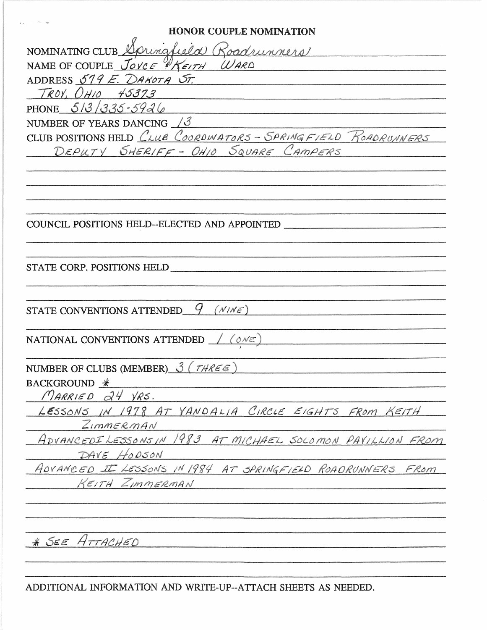**HONOR COUPLE NOMINATION** NOMINATING CLUB Springfield Roadrunners NAME OF COUPLE JOYCE HREITH WARD ADDRESS 579 E. DAKOTA ST.  $TROY. OH10 45373$ PHONE  $513/335-5926$ NUMBER OF YEARS DANCING  $\sqrt{3}$ CLUB POSITIONS HELD CLUB COORDINATORS - SPRINGFIELD ROADRUNNERS DEPUTY SHERIFF - OHIO SQUARE CAMPERS COUNCIL POSITIONS HELD--ELECTED AND APPOINTED STATE CORP. POSITIONS HELD STATE CONVENTIONS ATTENDED  $9$  (NINE) NATIONAL CONVENTIONS ATTENDED  $/(\omega \vee \epsilon)$ NUMBER OF CLUBS (MEMBER)  $\hat{J}$  (*THREE*)  $BACKGROWND *$ MARRIED 24 YRS. LESSONS IN 1978 AT VANDALIA CIRCLE EIGHTS FROM KEITH  $Z$ *IMMERMAN* ADVANCEDILESSONSIN 1983 AT MICHAEL SOLOMON PAVILLION FROM DAVE HODSON ADVANCED I LESSONS IN 1984 AT SPRINGFIELD ROADRUNNERS FROM KEITH ZIMMERMAN \* SEE ATTACHED

ADDITIONAL INFORMATION AND WRITE-UP--ATTACH SHEETS AS NEEDED.